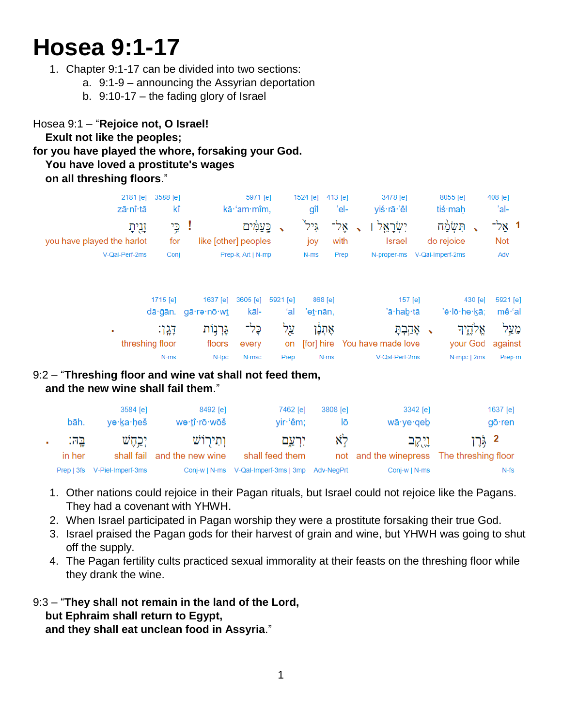# **Hosea 9:1-17**

- 1. Chapter 9:1-17 can be divided into two sections:
	- a. 9:1-9 announcing the Assyrian deportation
	- b. 9:10-17 the fading glory of Israel

# Hosea 9:1 – "**Rejoice not, O Israel! Exult not like the peoples; for you have played the whore, forsaking your God. You have loved a prostitute's wages on all threshing floors**."

| 2181 [e]<br>zā·nî·tā                                    | 3588 [e]<br>kî      |                               | 5971 [e]<br>kā·'am·mîm.                                 |                       | 1524 [e]<br>gîl               | 413 [e]<br>'el-      | 3478 [e]<br>yiś·rā·'êl                                | 8055 [e]<br>tiś∙maḥ                                                     | 408 [e]<br>'al-             |
|---------------------------------------------------------|---------------------|-------------------------------|---------------------------------------------------------|-----------------------|-------------------------------|----------------------|-------------------------------------------------------|-------------------------------------------------------------------------|-----------------------------|
| זְנִיתָ<br>you have played the harlot<br>V-Qal-Perf-2ms | for<br>Conj         | ! כֶּי                        | כֶּעֲמָים<br>like [other] peoples<br>Prep-k, Art   N-mp | $\tilde{\phantom{a}}$ | גיל<br>joy<br>N-ms            | אָל־<br>with<br>Prep | יִשְׂרָאֵל<br>$\cdot$<br><b>Israel</b><br>N-proper-ms | תְּשָׁמֵה<br>$\overline{\phantom{a}}$<br>do rejoice<br>V-Qal-Imperf-2ms | 1 אַל־<br><b>Not</b><br>Adv |
|                                                         | 1715 [e]<br>dā gān. | 1637 [e]<br>gā·re·nō·wt       | 3605 [e]<br>kāl-                                        | 5921 [e]<br>ʻal       | 868 [e]<br>'eṯ∙nān,           |                      | 157 [e]<br>'ā·hab·tā                                  | 430 [e]<br>'ĕ∙lō∙he∙kā;                                                 | 5921 [e]<br>mê·'al          |
| ٠<br>threshing floor                                    | -147<br>$N-ms$      | גָּרְנָוֹת<br>floors<br>N-fpc | בֶּל־<br>every<br>N-msc                                 | צֵל<br>on<br>Prep     | אָתְנָן<br>[for] hire<br>N-ms |                      | אָהַבְתָּ<br>You have made love<br>V-Qal-Perf-2ms     | אֱלֹדֶיִד<br>your God<br>N-mpc   2ms                                    | מַעַל<br>against<br>Prep-m  |

#### 9:2 – "**Threshing floor and wine vat shall not feed them, and the new wine shall fail them**."

|              | bāh.   | 3584 [e]<br>ye·ka·heš        | 8492 [e]<br>we·tî·rō·wōš    | 7462 [e]<br>yir 'êm;                            | 3808 [e]<br>lō | 3342 [e]<br>wā∙ye∙qeb | 1637 $[e]$<br>$g\bar{o}$ ·ren             |
|--------------|--------|------------------------------|-----------------------------|-------------------------------------------------|----------------|-----------------------|-------------------------------------------|
| $\mathbf{u}$ | 15일    | יַכֵהָשׁ                     | ותירוש                      | יִרְעֵם                                         | לא             | ניקב                  | 2 גּרֵן                                   |
|              | in her |                              | shall fail and the new wine | shall feed them                                 |                |                       | not and the winepress The threshing floor |
|              |        | Prep   3fs V-Piel-Imperf-3ms |                             | Conj-w   N-ms V-Qal-Imperf-3ms   3mp Adv-NeqPrt |                | Conj-w   N-ms         | N-fs                                      |

- 1. Other nations could rejoice in their Pagan rituals, but Israel could not rejoice like the Pagans. They had a covenant with YHWH.
- 2. When Israel participated in Pagan worship they were a prostitute forsaking their true God.
- 3. Israel praised the Pagan gods for their harvest of grain and wine, but YHWH was going to shut off the supply.
- 4. The Pagan fertility cults practiced sexual immorality at their feasts on the threshing floor while they drank the wine.
- 9:3 "**They shall not remain in the land of the Lord, but Ephraim shall return to Egypt,**

 **and they shall eat unclean food in Assyria**."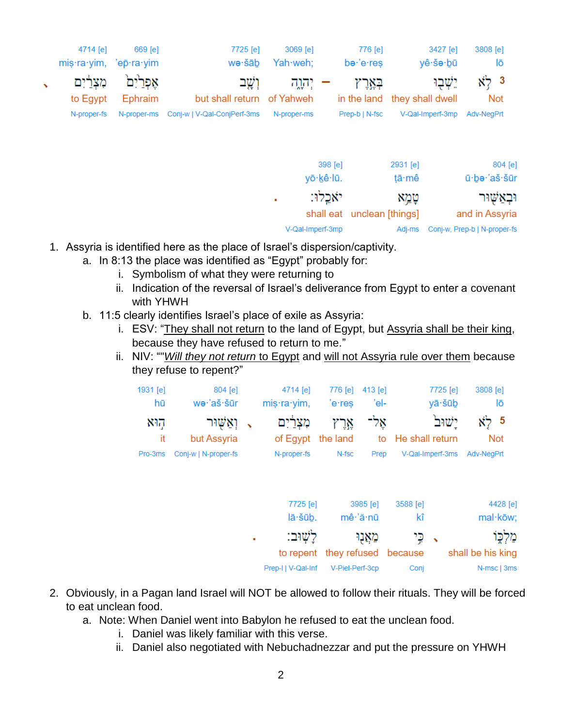|              | 4714 [e]<br>mis·ra·yim, 'ep·ra·yim | 669 [e]     | 7725 [e]<br>wə∙šāb          | 3069 [e]<br>Yah·weh; | 776 [e]<br>be 'e res | 3427 [e]<br>yê∙šə∙bū         | 3808 [e]<br>lō         |
|--------------|------------------------------------|-------------|-----------------------------|----------------------|----------------------|------------------------------|------------------------|
| $\mathbf{v}$ | מִצְרַיִם                          | אַפִּריִם   | וְשֶׁב                      | יהוה:                | בארץ                 | יֵשׁבִוּ                     | $x^2$ 3                |
|              | to Egypt                           | Ephraim     | but shall return of Yahweh  |                      |                      | in the land they shall dwell | <b>Not</b>             |
|              | N-proper-fs                        | N-proper-ms | Conj-w   V-Qal-ConjPerf-3ms | N-proper-ms          | Prep-b   N-fsc       | V-Qal-Imperf-3mp             | Adv-NegPrt             |
|              |                                    |             |                             |                      | 398 [e]<br>yō·kê·lū. | 2931 [e]<br>tā·mê            | 804 [e]<br>ū·be·'aš·šū |
|              |                                    |             |                             | ٠                    | יאכלו:               | טְמֵא                        | יבאַשוּר               |

- 1. Assyria is identified here as the place of Israel's dispersion/captivity.
	- a. In 8:13 the place was identified as "Egypt" probably for:
		- i. Symbolism of what they were returning to
		- ii. Indication of the reversal of Israel's deliverance from Egypt to enter a covenant with YHWH

V-Qal-Imperf-3mp

shall eat unclean [things]

and in Assyria

Adj-ms Conj-w, Prep-b | N-proper-fs

- b. 11:5 clearly identifies Israel's place of exile as Assyria:
	- i. ESV: "They shall not return to the land of Egypt, but Assyria shall be their king, because they have refused to return to me."
	- ii. NIV: ""*Will they not return* to Egypt and will not Assyria rule over them because they refuse to repent?"

| 1931 $[e]$<br>hū      | $804$ [e]<br>wə·'aš·šūr                            | 4714 [e]<br>$mis·ra·yim$ , | 'e∙res                                  | 776 [e] 413 [e]<br>'el- | 7725 [e]<br>yā·šūb                             | 3808 [e]<br>lō                          |
|-----------------------|----------------------------------------------------|----------------------------|-----------------------------------------|-------------------------|------------------------------------------------|-----------------------------------------|
| הוא<br>it.<br>Pro-3ms | ר (אַשוּר ,<br>but Assyria<br>Conj-w   N-proper-fs | מִצְרַיִם<br>N-proper-fs   | אַל־ אַרץ<br>of Egypt the land<br>N-fsc | Prep                    | ישוב<br>to He shall return<br>V-Qal-Imperf-3ms | <u>አን</u> 5<br><b>Not</b><br>Adv-NegPrt |

| 7725 [e]           | 3985 [e]                       | 3588 [e] | 4428 [e]          |
|--------------------|--------------------------------|----------|-------------------|
| lā·šūb.            | mê 'ă nū                       | kî       | mal·kōw;          |
| לשׁוּב:            | מאנו                           | √ ⊊י     | מלִכּוֹ           |
|                    | to repent they refused because |          | shall be his king |
| Prep-I   V-Qal-Inf | V-Piel-Perf-3cp                | Conj     | N-msc   3ms       |

- 2. Obviously, in a Pagan land Israel will NOT be allowed to follow their rituals. They will be forced to eat unclean food.
	- a. Note: When Daniel went into Babylon he refused to eat the unclean food.
		- i. Daniel was likely familiar with this verse.
		- ii. Daniel also negotiated with Nebuchadnezzar and put the pressure on YHWH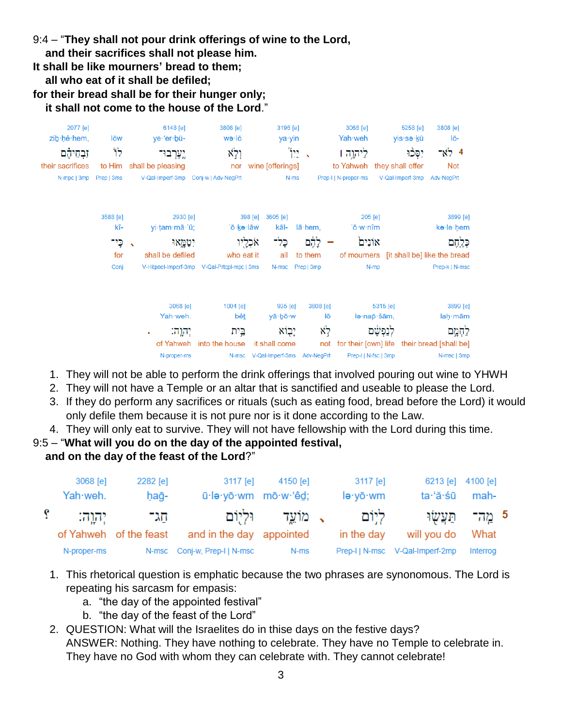9:4 – "**They shall not pour drink offerings of wine to the Lord,**

- **and their sacrifices shall not please him.**
- **It shall be like mourners' bread to them;**
- **all who eat of it shall be defiled;**

**for their bread shall be for their hunger only;**

 **it shall not come to the house of the Lord**."



- 1. They will not be able to perform the drink offerings that involved pouring out wine to YHWH
- 2. They will not have a Temple or an altar that is sanctified and useable to please the Lord.
- 3. If they do perform any sacrifices or rituals (such as eating food, bread before the Lord) it would only defile them because it is not pure nor is it done according to the Law.
- 4. They will only eat to survive. They will not have fellowship with the Lord during this time.

# 9:5 – "**What will you do on the day of the appointed festival,**

# **and on the day of the feast of the Lord**?"

| 3068 [e]<br>Yah weh. | 2282 [e]<br>hağ-       | 3117 [e]<br>ū·lə·yō·wm mō·w·'êd; | 4150 [e]          | 3117 [e]<br>lə·yō·wm | 6213 [e]<br>ta·ʻă·śū            | 4100 [e]<br>mah-  |  |
|----------------------|------------------------|----------------------------------|-------------------|----------------------|---------------------------------|-------------------|--|
| יהוה:                | דוגר                   |                                  | ג מוֹעֵד וּלִיוֹם | ליום                 |                                 | 5 מֵה־ תַּעֲשָׂוּ |  |
|                      | of Yahweh of the feast | and in the day appointed         |                   | in the day           | will you do                     | What              |  |
| N-proper-ms          |                        | N-msc Conj-w, Prep-I   N-msc     | N-ms              |                      | Prep-I   N-msc V-Qal-Imperf-2mp | Interrog          |  |

- 1. This rhetorical question is emphatic because the two phrases are synonomous. The Lord is repeating his sarcasm for empasis:
	- a. "the day of the appointed festival"
	- b. "the day of the feast of the Lord"
- 2. QUESTION: What will the Israelites do in thise days on the festive days? ANSWER: Nothing. They have nothing to celebrate. They have no Temple to celebrate in. They have no God with whom they can celebrate with. They cannot celebrate!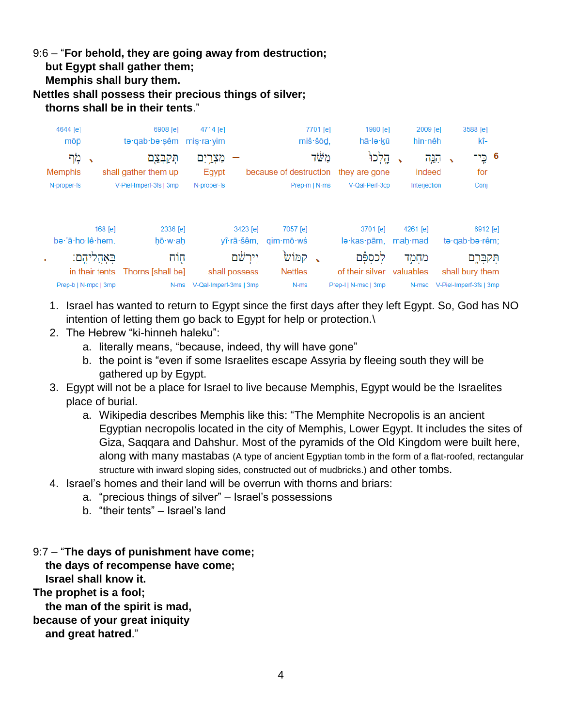#### 9:6 – "**For behold, they are going away from destruction; but Egypt shall gather them; Memphis shall bury them. Nettles shall possess their precious things of silver; thorns shall be in their tents**."

| 4644 [e]         |                      | 6908 [e]                 | 4714 [e]               |                        |                          | 7701 [e] | 1980 [e]                | 2009 [e]            |                          | 3588 [e]                   |  |
|------------------|----------------------|--------------------------|------------------------|------------------------|--------------------------|----------|-------------------------|---------------------|--------------------------|----------------------------|--|
| mōp              |                      | te qab be sêm mis ra yim |                        |                        |                          | miš·šōd. | hā·lə·kū                | hin nêh             |                          | kî-                        |  |
| מְר              | $\checkmark$         | תְּקַבְּצֵם              | מִצְ <u>ּרְי</u> ִם    |                        |                          | משׂד     | הֶלְכוּ                 | הגה                 | $\overline{\phantom{0}}$ | 6 כֵי־                     |  |
| <b>Memphis</b>   |                      | shall gather them up     | Egypt                  |                        | because of destruction   |          | they are gone           | indeed              |                          | for                        |  |
| N-proper-fs      |                      | V-Piel-Imperf-3fs   3mp  | N-proper-fs            |                        | Prep-m   N-ms            |          | V-Qal-Perf-3cp          | Interjection        |                          | Conj                       |  |
| be 'ā ho lê hem. | 168 [e]              | 2336 [e]<br>hō w ah      |                        | 3423 [e]<br>yî·rā·šêm, | 7057 [e]<br>$q$ im·mō·wś |          | 3701 [e]<br>lə kas pām, | 4261 [e]<br>mah·mad |                          | 6912 [e]<br>te·qab·be·rêm; |  |
|                  |                      |                          |                        | יֵירַשָּׁם             | קמוש                     |          |                         |                     |                          |                            |  |
|                  | בְּאָהֶלִיהֶם:       | הָוֹהַ                   |                        |                        |                          |          | ⊵ בֱסְפּה               | מַחָמֵד             |                          | תִּקַבְּרֶם                |  |
|                  | in their tents       | Thorns [shall be]        | shall possess          |                        | <b>Nettles</b>           |          | of their silver         | valuables           |                          | shall bury them            |  |
|                  | Prep-b   N-mpc   3mp | N-ms                     | V-Qal-Imperf-3ms   3mp |                        | N-ms                     |          | Prep-I   N-msc   3mp    | N-msc               |                          | V-Piel-Imperf-3fs   3mp    |  |

- 1. Israel has wanted to return to Egypt since the first days after they left Egypt. So, God has NO intention of letting them go back to Egypt for help or protection.\
- 2. The Hebrew "ki-hinneh haleku":
	- a. literally means, "because, indeed, thy will have gone"
	- b. the point is "even if some Israelites escape Assyria by fleeing south they will be gathered up by Egypt.
- 3. Egypt will not be a place for Israel to live because Memphis, Egypt would be the Israelites place of burial.
	- a. Wikipedia describes Memphis like this: "The Memphite Necropolis is an ancient Egyptian necropolis located in the city of Memphis, Lower Egypt. It includes the sites of Giza, Saqqara and Dahshur. Most of the pyramids of the Old Kingdom were built here, along with many mastabas (A type of ancient Egyptian tomb in the form of a flat-roofed, rectangular structure with inward sloping sides, constructed out of mudbricks.) and other tombs.
- 4. Israel's homes and their land will be overrun with thorns and briars:
	- a. "precious things of silver" Israel's possessions
		- b. "their tents" Israel's land
- 9:7 "**The days of punishment have come;**

 **the days of recompense have come;**

 **Israel shall know it. The prophet is a fool;**

 **the man of the spirit is mad,**

**because of your great iniquity**

 **and great hatred**."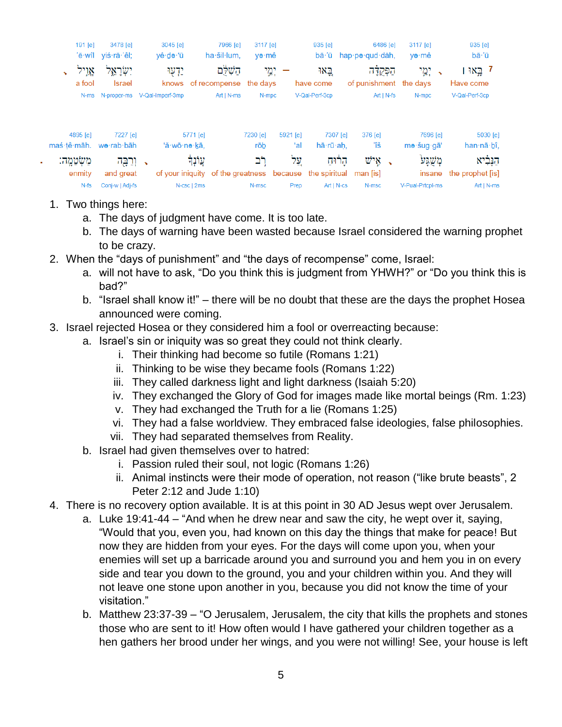|                                        | 191 [e]             | 3478 [e]<br>'ĕ·wîl yiś·rā·'êl;     | 3045 [e]<br>yê∙də∙'ū              | 7966 [e]<br>ha·šil·lum.                                             | 3117 [e]<br>yə∙mê |                 | 935 [e]               | 6486 [e]<br>$b\bar{a}$ $\dot{a}$ hap $p\bar{e}$ qud dah, | 3117 [e]<br>yə∙mê  | 935 [e]<br>bā·'ū                               |
|----------------------------------------|---------------------|------------------------------------|-----------------------------------|---------------------------------------------------------------------|-------------------|-----------------|-----------------------|----------------------------------------------------------|--------------------|------------------------------------------------|
|                                        | אֵוֵיל<br>a fool    | יִשְׂרָאֱל<br><b>Israel</b>        | ידעו:                             | הַשָׁלִּם<br>knows of recompense                                    | ימי<br>the davs   |                 | באו<br>have come      | הפקדה<br>of punishment the days                          | ימי:               | 7 בֵּאוּ ו<br>Have come                        |
|                                        |                     |                                    | N-ms N-proper-ms V-Qal-Imperf-3mp | $Art   N-ms$                                                        | N-mpc             |                 | V-Qal-Perf-3cp        | $Art   N-fs $                                            | N-mpc              | V-Qal-Perf-3cp                                 |
|                                        | 4895 [e]            | 7227 [e]<br>maś·tê·māh. we·rab·bāh | 'ă·wō·nə·kā.                      | 5771 [e]                                                            | 7230 [e]          | 5921 [e]<br>ʻal | 7307 [e]<br>hā·rū·ah. | 376 [e]<br>ïš                                            | 7696 [e]           | 5030 [e]                                       |
|                                        | מֲשָׂמֱה:<br>enmity | י ורכה -                           |                                   | עֲוֹנָךָ<br>of your iniquity of the greatness because the spiritual | rōb<br>רב         | עֵל             | הרוח                  | איש .<br>man [is]                                        | mə·šug·gā'<br>משגע | han nā bî,<br>הנביא<br>insane the prophet [is] |
| and great<br>$N-fs$<br>Conj-w   Adj-fs |                     |                                    |                                   | N-csc   2ms                                                         | N-msc             | Prep            | $Art   N-cs$          | N-msc                                                    | V-Pual-Prtcpl-ms   | $Art   N-ms$                                   |

- 1. Two things here:
	- a. The days of judgment have come. It is too late.
	- b. The days of warning have been wasted because Israel considered the warning prophet to be crazy.
- 2. When the "days of punishment" and "the days of recompense" come, Israel:
	- a. will not have to ask, "Do you think this is judgment from YHWH?" or "Do you think this is bad?"
	- b. "Israel shall know it!" there will be no doubt that these are the days the prophet Hosea announced were coming.
- 3. Israel rejected Hosea or they considered him a fool or overreacting because:
	- a. Israel's sin or iniquity was so great they could not think clearly.
		- i. Their thinking had become so futile (Romans 1:21)
		- ii. Thinking to be wise they became fools (Romans 1:22)
		- iii. They called darkness light and light darkness (Isaiah 5:20)
		- iv. They exchanged the Glory of God for images made like mortal beings (Rm. 1:23)
		- v. They had exchanged the Truth for a lie (Romans 1:25)
		- vi. They had a false worldview. They embraced false ideologies, false philosophies.
		- vii. They had separated themselves from Reality.
	- b. Israel had given themselves over to hatred:
		- i. Passion ruled their soul, not logic (Romans 1:26)
		- ii. Animal instincts were their mode of operation, not reason ("like brute beasts", 2 Peter 2:12 and Jude 1:10)
- 4. There is no recovery option available. It is at this point in 30 AD Jesus wept over Jerusalem.
	- a. Luke 19:41-44 "And when he drew near and saw the city, he wept over it, saying, "Would that you, even you, had known on this day the things that make for peace! But now they are hidden from your eyes. For the days will come upon you, when your enemies will set up a barricade around you and surround you and hem you in on every side and tear you down to the ground, you and your children within you. And they will not leave one stone upon another in you, because you did not know the time of your visitation."
	- b. Matthew 23:37-39 "O Jerusalem, Jerusalem, the city that kills the prophets and stones those who are sent to it! How often would I have gathered your children together as a hen gathers her brood under her wings, and you were not willing! See, your house is left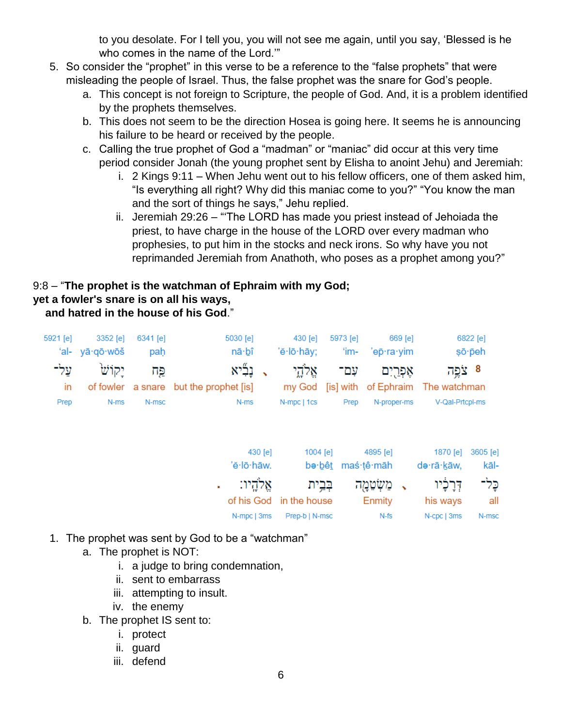to you desolate. For I tell you, you will not see me again, until you say, 'Blessed is he who comes in the name of the Lord.'"

- 5. So consider the "prophet" in this verse to be a reference to the "false prophets" that were misleading the people of Israel. Thus, the false prophet was the snare for God's people.
	- a. This concept is not foreign to Scripture, the people of God. And, it is a problem identified by the prophets themselves.
	- b. This does not seem to be the direction Hosea is going here. It seems he is announcing his failure to be heard or received by the people.
	- c. Calling the true prophet of God a "madman" or "maniac" did occur at this very time period consider Jonah (the young prophet sent by Elisha to anoint Jehu) and Jeremiah:
		- i. 2 Kings 9:11 When Jehu went out to his fellow officers, one of them asked him, "Is everything all right? Why did this maniac come to you?" "You know the man and the sort of things he says," Jehu replied.
		- ii. Jeremiah 29:26 "'The LORD has made you priest instead of Jehoiada the priest, to have charge in the house of the LORD over every madman who prophesies, to put him in the stocks and neck irons. So why have you not reprimanded Jeremiah from Anathoth, who poses as a prophet among you?"

# 9:8 – "**The prophet is the watchman of Ephraim with my God;**

## **yet a fowler's snare is on all his ways,**

 **and hatred in the house of his God**."

| 5921 [e] | 3352 [e]       | 6341 [e] | 5030 [e]                                                                        |         | 430 [e]                 | 5973 [e]          | 669 [e]       |                 | 6822 [e] |
|----------|----------------|----------|---------------------------------------------------------------------------------|---------|-------------------------|-------------------|---------------|-----------------|----------|
|          | 'al- yā·qō·wōš | pah      | nā·bî                                                                           |         | 'ĕ·lō·hāy;              | 'im-              | 'ep⊤ra∙yim    |                 | sō peh   |
| על־      | יקוש           | פּח      | נְבָליא                                                                         |         | אֱלֹהֱי                 | עם־               | אָפְרַיִם     | 8 צׂפה          |          |
| in       |                |          | of fowler a snare but the prophet [is] my God [is] with of Ephraim The watchman |         |                         |                   |               |                 |          |
| Prep     | N-ms           | N-msc    | N-ms                                                                            |         | N-mpc   1cs             | Prep              | N-proper-ms   | V-Qal-Prtcpl-ms |          |
|          |                |          |                                                                                 |         |                         |                   |               |                 |          |
|          |                |          |                                                                                 | 430 [e] | 1004 [e]                |                   | 4895 [e]      | 1870 [e]        | 3605 [e] |
|          |                |          | 'ĕ·lō·hāw.                                                                      |         |                         | be·bêt maś·țê·māh |               | də·rā·kāw,      | kāl-     |
|          |                |          | אֵלהֵיו:<br>٠                                                                   |         | בְּבֵית                 |                   | משׂטמה        | דְּרָכָ֫יו      | כֵּל־    |
|          |                |          |                                                                                 |         | of his God in the house |                   | <b>Enmity</b> | his ways        | all      |
|          |                |          | N-mpc   3ms                                                                     |         | Prep-b   N-msc          |                   | N-fs          | N-cpc   3ms     | N-msc    |

- 1. The prophet was sent by God to be a "watchman"
	- a. The prophet is NOT:
		- i. a judge to bring condemnation,
		- ii. sent to embarrass
		- iii. attempting to insult.
		- iv. the enemy
	- b. The prophet IS sent to:
		- i. protect
		- ii. guard
		- iii. defend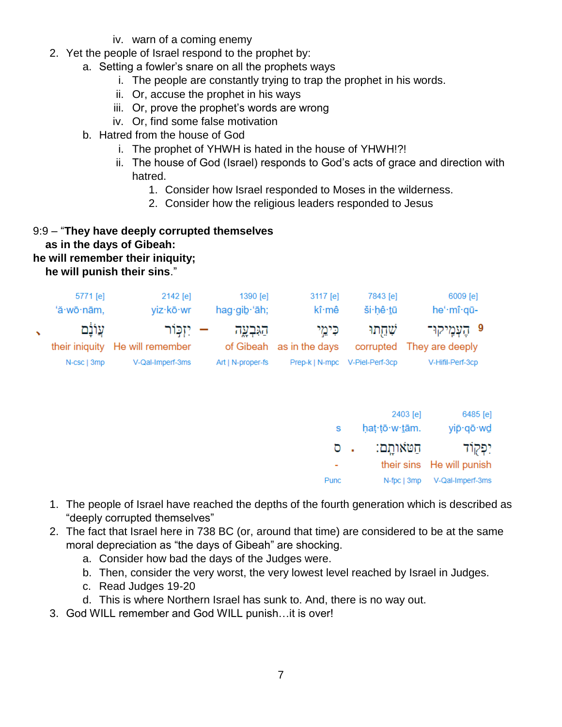- iv. warn of a coming enemy
- 2. Yet the people of Israel respond to the prophet by:
	- a. Setting a fowler's snare on all the prophets ways
		- i. The people are constantly trying to trap the prophet in his words.
		- ii. Or, accuse the prophet in his ways
		- iii. Or, prove the prophet's words are wrong
		- iv. Or, find some false motivation
	- b. Hatred from the house of God
		- i. The prophet of YHWH is hated in the house of YHWH!?!
		- ii. The house of God (Israel) responds to God's acts of grace and direction with hatred.
			- 1. Consider how Israel responded to Moses in the wilderness.
			- 2. Consider how the religious leaders responded to Jesus

9:9 – "**They have deeply corrupted themselves as in the days of Gibeah: he will remember their iniquity; he will punish their sins**."

| 5771 [e]<br>'ă·wō·nām, | 2142 [e]<br>viz·kō·wr                           | 1390 [e]<br>hag gib 'āh; | 3117 [e]<br>kî∙mê                   | 7843 [e]<br>ši hê tū           | 6009 [e]<br>he'·mî·qū-                      |
|------------------------|-------------------------------------------------|--------------------------|-------------------------------------|--------------------------------|---------------------------------------------|
| עֵוֹנֹם                | – יִזְכְּוֹר<br>their iniquity He will remember | הגּבְעָה                 | כִּימֵי<br>of Gibeah as in the days | שתתו                           | 9 הַעָּמֵיקוּ־<br>corrupted They are deeply |
| N-csc   3mp            | V-Qal-Imperf-3ms                                | Art   N-proper-fs        |                                     | Prep-k   N-mpc V-Piel-Perf-3cp | V-Hifil-Perf-3cp                            |

|      | 2403 [e]      | 6485 [e]                  |
|------|---------------|---------------------------|
| S.   | hat tō w tām. | yip·qō·wd                 |
| ס    | תטאותם:       | יִפְקוֹד                  |
|      |               | their sins He will punish |
| Punc | N-fpc   3mp   | V-Qal-Imperf-3ms          |

- 1. The people of Israel have reached the depths of the fourth generation which is described as "deeply corrupted themselves"
- 2. The fact that Israel here in 738 BC (or, around that time) are considered to be at the same moral depreciation as "the days of Gibeah" are shocking.
	- a. Consider how bad the days of the Judges were.
	- b. Then, consider the very worst, the very lowest level reached by Israel in Judges.
	- c. Read Judges 19-20
	- d. This is where Northern Israel has sunk to. And, there is no way out.
- 3. God WILL remember and God WILL punish…it is over!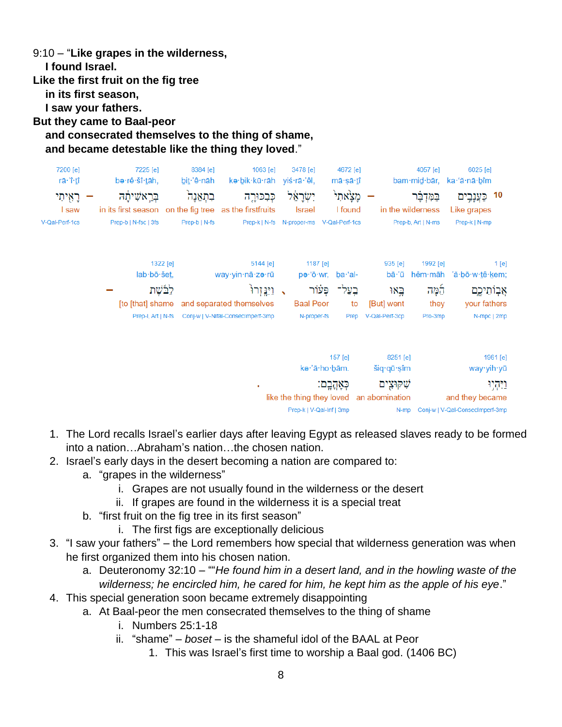9:10 – "**Like grapes in the wilderness,**

 **I found Israel.**

**Like the first fruit on the fig tree**

 **in its first season,**

 **I saw your fathers.**

**But they came to Baal-peor**

## **and consecrated themselves to the thing of shame, and became detestable like the thing they loved**."

|                       | 6025 [e]<br>ka∙'ă∙nā∙bîm                                               | 4057 [e]<br>bam·mid·bār,                  |                                                                                   | 4672 [e]<br>mā∙şā∙ <u>t</u> î   | 3478 [e]<br>yiś∙rā∙'êl,                                                | 1063 [e]                    | kə∙bik∙kū∙rāh                                                                     | 8384 [e]<br>bit 'ê nāh    | 7225 [e]                                                                           | be·rê·šî·tāh,                                                                                    | 7200 [e]<br>rā∙'î∙ <u>t</u> î       |
|-----------------------|------------------------------------------------------------------------|-------------------------------------------|-----------------------------------------------------------------------------------|---------------------------------|------------------------------------------------------------------------|-----------------------------|-----------------------------------------------------------------------------------|---------------------------|------------------------------------------------------------------------------------|--------------------------------------------------------------------------------------------------|-------------------------------------|
| 10                    | Like grapes<br>Prep-k   N-mp                                           | בַּמְּדְבָּ֫ר<br>Prep-b, Art   N-ms       | in the wilderness                                                                 | מַצַאתִי<br>I found             | יִשְׂרָאֵל<br>Israel<br>Prep-k   N-fs N-proper-ms V-Qal-Perf-1cs       |                             | כִּבְכּוּרֵה                                                                      | בתְאֵנָה<br>Prep-b   N-fs |                                                                                    | בְּרֵאשִׁיתָהּ<br>in its first season on the fig tree as the firstfruits<br>Prep-b   N-fsc   3fs | רָאָיתִי<br>I saw<br>V-Qal-Perf-1cs |
| 1[e]                  | hêm·māh 'ă·bō·w·tê·kem;<br>אֲבְוֹתֵיכֶם<br>your fathers<br>N-mpc   2mp | 1992 [e]<br><u>למה</u><br>they<br>Pro-3mp | 935 [e]<br>bā∙'ū<br>באו<br>[But] went<br>V-Qal-Perf-3cp                           | ba·'al-<br>בֻעַל־<br>to<br>Prep | 1187 [e]<br>pə∙'ō∙wr,<br>פּעוֹר<br><b>Baal Peor</b><br>N-proper-fs     | 5144 [e]<br>וַיְיֵּבְ זָרוּ | way∙yin∙nā∙zə∙rū<br>and separated themselves<br>Conj-w   V-Nifal-ConsecImperf-3mp |                           | 1322 [e]<br>$lab \cdot b\bar{o} \cdot \text{Set}$<br>לבֿשֶׁת<br>Prep-I, Art   N-fs | [to [that] shame                                                                                 |                                     |
| 1961 [e]<br>ויִהְיָוּ | way∙yih∙yū<br>and they became<br>Conj-w   V-Qal-Consecimperf-3mp       |                                           | 8251 [e]<br>$\sin \theta$ and $\sin \theta$<br>שקוּצִים<br>an abomination<br>N-mp | 157 [e]<br>כְּאָהֲבָם:          | kə·'ā·ho·bām.<br>like the thing they loved<br>Prep-k   V-Qal-Inf   3mp |                             | ٠                                                                                 |                           |                                                                                    |                                                                                                  |                                     |

- 1. The Lord recalls Israel's earlier days after leaving Egypt as released slaves ready to be formed into a nation…Abraham's nation…the chosen nation.
- 2. Israel's early days in the desert becoming a nation are compared to:
	- a. "grapes in the wilderness"
		- i. Grapes are not usually found in the wilderness or the desert
		- ii. If grapes are found in the wilderness it is a special treat
	- b. "first fruit on the fig tree in its first season"
		- i. The first figs are exceptionally delicious
- 3. "I saw your fathers" the Lord remembers how special that wilderness generation was when he first organized them into his chosen nation.
	- a. Deuteronomy 32:10 ""*He found him in a desert land, and in the howling waste of the wilderness; he encircled him, he cared for him, he kept him as the apple of his eye*."
- 4. This special generation soon became extremely disappointing
	- a. At Baal-peor the men consecrated themselves to the thing of shame
		- i. Numbers 25:1-18
		- ii. "shame" *boset* is the shameful idol of the BAAL at Peor
			- 1. This was Israel's first time to worship a Baal god. (1406 BC)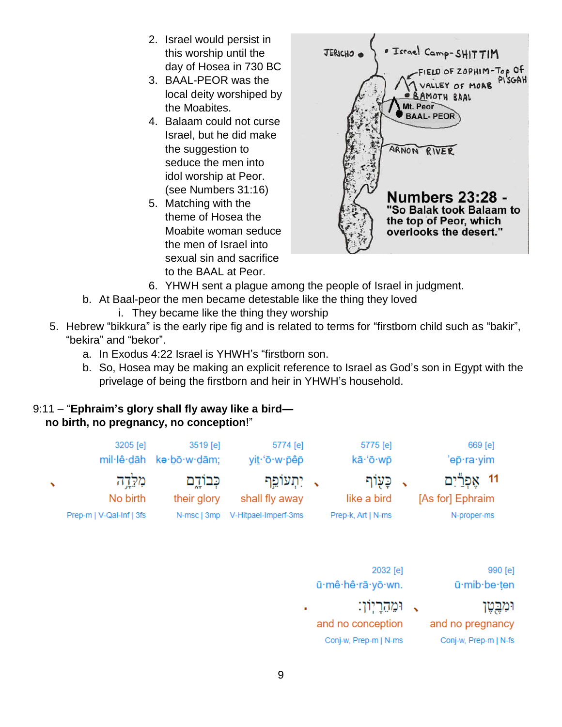- 2. Israel would persist in this worship until the day of Hosea in 730 BC
- 3. BAAL-PEOR was the local deity worshiped by the Moabites.
- 4. Balaam could not curse Israel, but he did make the suggestion to seduce the men into idol worship at Peor. (see Numbers 31:16)
- 5. Matching with the theme of Hosea the Moabite woman seduce the men of Israel into sexual sin and sacrifice to the BAAL at Peor.



- 6. YHWH sent a plague among the people of Israel in judgment.
- b. At Baal-peor the men became detestable like the thing they loved
	- i. They became like the thing they worship
- 5. Hebrew "bikkura" is the early ripe fig and is related to terms for "firstborn child such as "bakir", "bekira" and "bekor".
	- a. In Exodus 4:22 Israel is YHWH's "firstborn son.
	- b. So, Hosea may be making an explicit reference to Israel as God's son in Egypt with the privelage of being the firstborn and heir in YHWH's household.

# 9:11 – "**Ephraim's glory shall fly away like a bird—**

# **no birth, no pregnancy, no conception**!"

| 669 [e]<br>'ep·ra·yim                                 |                          | 5775 [e]<br>kā·'ō·wp                                   |  | 5774 [e]<br>yit·'ō·w·pêp                                | 3519 [e]<br>kə·bō·w·dām;                | 3205 [e]<br>mil·lê·dāh                         |   |
|-------------------------------------------------------|--------------------------|--------------------------------------------------------|--|---------------------------------------------------------|-----------------------------------------|------------------------------------------------|---|
| אָפְרַיִם<br>$-11$<br>[As for] Ephraim<br>N-proper-ms | $\checkmark$             | כָּעָוֹף<br>like a bird<br>Prep-k, Art   N-ms          |  | ַ, יִתְעוֹפֵף<br>shall fly away<br>V-Hitpael-Imperf-3ms | כְּבוֹדֶם<br>their glory<br>N-msc   3mp | מלֵדֶה<br>No birth<br>Prep-m   V-Qal-Inf   3fs | ╲ |
| 990 [e]<br>ū·mib·be·ten                               |                          | 2032 [e]<br>ū·mê·hê·rā·yō·wn.                          |  |                                                         |                                         |                                                |   |
| ומבֱטֶן<br>and no pregnancy<br>Conj-w, Prep-m   N-fs  | $\overline{\phantom{a}}$ | ומהריון:<br>and no conception<br>Conj-w, Prep-m   N-ms |  | ٠                                                       |                                         |                                                |   |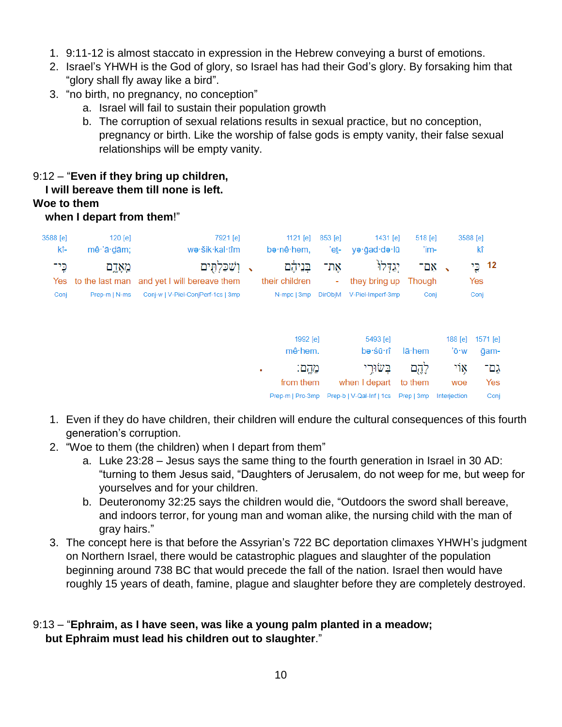- 1. 9:11-12 is almost staccato in expression in the Hebrew conveying a burst of emotions.
- 2. Israel's YHWH is the God of glory, so Israel has had their God's glory. By forsaking him that "glory shall fly away like a bird".
- 3. "no birth, no pregnancy, no conception"
	- a. Israel will fail to sustain their population growth
	- b. The corruption of sexual relations results in sexual practice, but no conception, pregnancy or birth. Like the worship of false gods is empty vanity, their false sexual relationships will be empty vanity.

# 9:12 – "**Even if they bring up children,**

#### **I will bereave them till none is left.**

## **Woe to them**

#### **when I depart from them**!"

| 3588 [e]<br>kî- | $120$ [e]<br>$m\hat{e}$ $\cdot$ $\hat{a}$ $\cdot$ $d$ $\tilde{a}$ m; | 7921 [e]<br>wə·šik·kal·tîm                                                           | 1121 $[e]$<br>bə·nê·hem,                     | 853 [e]<br>'et-            | 1431 [e]<br>yə·ğad·də·lū                                           | $518$ [e]<br>'im-       |                            | 3588 [e]<br>kî        |
|-----------------|----------------------------------------------------------------------|--------------------------------------------------------------------------------------|----------------------------------------------|----------------------------|--------------------------------------------------------------------|-------------------------|----------------------------|-----------------------|
| כֶּי־<br>Conj   | מְאָדֶם<br>Yes to the last man<br>Prep-m   N-ms                      | וְשָׁכַּלְתִּים<br>and yet I will bereave them<br>Conj-w   V-Piel-ConjPerf-1cs   3mp | בִּנֵיהָׁם<br>their children<br>N-mpc   3mp  | את־<br>٠<br><b>DirObjM</b> | יגדלו<br>they bring up<br>V-Piel-Imperf-3mp                        | - אִם<br>Though<br>Conj |                            | 12 כֵי<br>Yes<br>Conj |
|                 |                                                                      |                                                                                      | 1992 [e]<br>mê hem.                          |                            | 5493 [e]<br>bə·sū·rî                                               | lā·hem                  | $188$ [e]<br>'ō·w          | 1571 [e]<br>ğam-      |
|                 |                                                                      |                                                                                      | מֲהֵם:<br>٠<br>from them<br>Prep-m   Pro-3mp |                            | בִּשׂוּרֵי<br>when I depart<br>Prep-b   V-Qal-Inf   1cs Prep   3mp | לֶהֶם<br>to them        | ۶jķ<br>woe<br>Interjection | גֵם־<br>Yes<br>Conj   |

- 1. Even if they do have children, their children will endure the cultural consequences of this fourth generation's corruption.
- 2. "Woe to them (the children) when I depart from them"
	- a. Luke 23:28 Jesus says the same thing to the fourth generation in Israel in 30 AD: "turning to them Jesus said, "Daughters of Jerusalem, do not weep for me, but weep for yourselves and for your children.
	- b. Deuteronomy 32:25 says the children would die, "Outdoors the sword shall bereave, and indoors terror, for young man and woman alike, the nursing child with the man of gray hairs."
- 3. The concept here is that before the Assyrian's 722 BC deportation climaxes YHWH's judgment on Northern Israel, there would be catastrophic plagues and slaughter of the population beginning around 738 BC that would precede the fall of the nation. Israel then would have roughly 15 years of death, famine, plague and slaughter before they are completely destroyed.

# 9:13 – "**Ephraim, as I have seen, was like a young palm planted in a meadow; but Ephraim must lead his children out to slaughter**."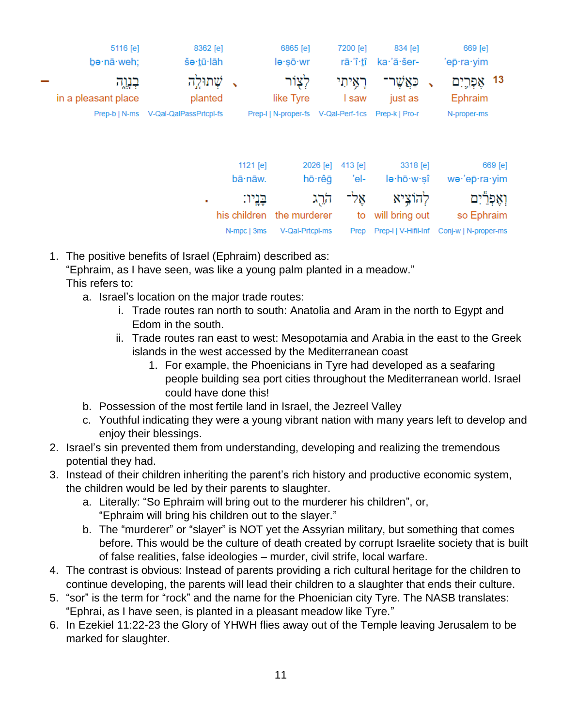| 669 [e]                  | 834 [e]                | 7200 [e]          | 6865 [e]             |                       | 8362 [e]               | 5116 [e]            |  |
|--------------------------|------------------------|-------------------|----------------------|-----------------------|------------------------|---------------------|--|
| 'epੋ·ra·yim              | ka·'ă·šer-             | rā·'î· <u>t</u> î | le-sō-wr             |                       | šə·tū·lāh              | be·nā·weh;          |  |
| - 13<br>אַפְרֵיִם        | כַאֲשֶׁו<br>↖          | רָאֶיתִי          | לצור                 | ↖                     | שתולה                  | בְנֶרֶה             |  |
| Ephraim                  | just as                | I saw             | like Tyre            |                       | planted                | in a pleasant place |  |
| N-proper-ms              | Prep-k   Pro-r         | V-Qal-Perf-1cs    | Prep-I   N-proper-fs |                       | V-Qal-QalPassPrtcpl-fs | Prep-b   N-ms       |  |
| 669 [e]<br>we·'ep·ra·yim | 3318 [e]<br>le·hō·w·sî | $413$ [e]<br>'el- | 2026 [e]<br>hō∙rêā   | 1121 $[e]$<br>bā·nāw. |                        |                     |  |
| ואַפִרַיִם               | להוציא                 | אֵל־              | הרֱג                 | בניו:                 | ٠                      |                     |  |
| so Ephraim               | will bring out         | to                | the murderer         | his children          |                        |                     |  |
| Conj-w   N-proper-ms     | Prep-I   V-Hifil-Inf   | Prep              | V-Qal-Prtcpl-ms      | N-mpc   3ms           |                        |                     |  |

- 1. The positive benefits of Israel (Ephraim) described as: "Ephraim, as I have seen, was like a young palm planted in a meadow."
	- This refers to:
		- a. Israel's location on the major trade routes:
			- i. Trade routes ran north to south: Anatolia and Aram in the north to Egypt and Edom in the south.
			- ii. Trade routes ran east to west: Mesopotamia and Arabia in the east to the Greek islands in the west accessed by the Mediterranean coast
				- 1. For example, the Phoenicians in Tyre had developed as a seafaring people building sea port cities throughout the Mediterranean world. Israel could have done this!
		- b. Possession of the most fertile land in Israel, the Jezreel Valley
		- c. Youthful indicating they were a young vibrant nation with many years left to develop and enjoy their blessings.
- 2. Israel's sin prevented them from understanding, developing and realizing the tremendous potential they had.
- 3. Instead of their children inheriting the parent's rich history and productive economic system, the children would be led by their parents to slaughter.
	- a. Literally: "So Ephraim will bring out to the murderer his children", or, "Ephraim will bring his children out to the slayer."
	- b. The "murderer" or "slayer" is NOT yet the Assyrian military, but something that comes before. This would be the culture of death created by corrupt Israelite society that is built of false realities, false ideologies – murder, civil strife, local warfare.
- 4. The contrast is obvious: Instead of parents providing a rich cultural heritage for the children to continue developing, the parents will lead their children to a slaughter that ends their culture.
- 5. "sor" is the term for "rock" and the name for the Phoenician city Tyre. The NASB translates: "Ephrai, as I have seen, is planted in a pleasant meadow like Tyre."
- 6. In Ezekiel 11:22-23 the Glory of YHWH flies away out of the Temple leaving Jerusalem to be marked for slaughter.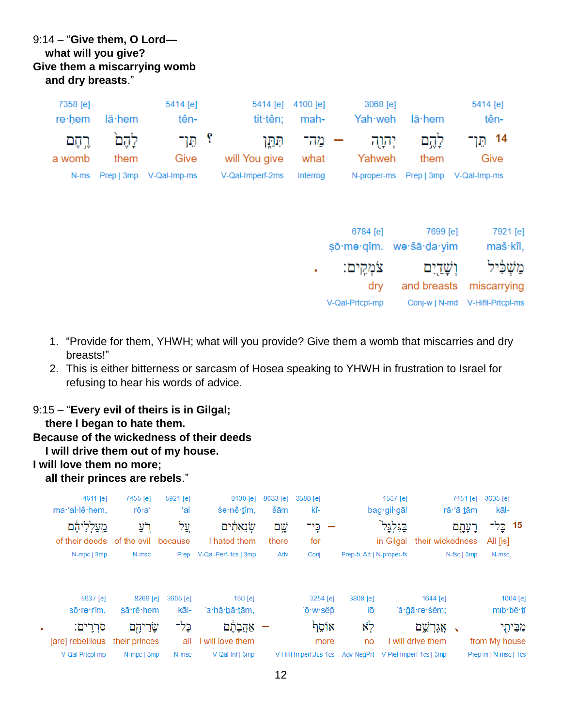# 9:14 – "**Give them, O Lord what will you give? Give them a miscarrying womb and dry breasts**."

| 7358 [e] |                | 5414 [e]                     |                  | 5414 [e] 4100 [e] | 3068 [e]      |            | 5414 [e]     |
|----------|----------------|------------------------------|------------------|-------------------|---------------|------------|--------------|
| re∙hem   | $l\bar{a}$ hem | tên-                         | tit·tên;         | mah-              | Yah·weh       | lā hem     | tên-         |
| רֱקָם    | לֵהֵם          | י הו־                        | תְּחֵֵי          |                   | יִהוַה – מַה־ | לֵהֵם      | 14 הַן־      |
| a womb   | them           | Give                         | will You give    | what              | Yahweh        | them       | Give         |
|          |                | N-ms Prep   3mp V-Qal-Imp-ms | V-Qal-Imperf-2ms | Interrog          | N-proper-ms   | Prep   3mp | V-Qal-Imp-ms |
|          |                |                              |                  |                   |               |            |              |

|              | 6784 [e]        | 7699 [e]                | 7921 [e]                           |
|--------------|-----------------|-------------------------|------------------------------------|
|              |                 | sō·mə·qîm. wə·šā·da·yim | maš·kîl,                           |
| $\mathbf{r}$ | צֹמְקֵים:       | וִשַּׁדַיִם             | משליל                              |
|              | dry             |                         | and breasts miscarrying            |
|              | V-Qal-Prtcpl-mp |                         | Conj-w   N-md    V-Hifil-Prtcpl-ms |
|              |                 |                         |                                    |

- 1. "Provide for them, YHWH; what will you provide? Give them a womb that miscarries and dry breasts!"
- 2. This is either bitterness or sarcasm of Hosea speaking to YHWH in frustration to Israel for refusing to hear his words of advice.

#### 9:15 – "**Every evil of theirs is in Gilgal;**

 **there I began to hate them.**

- **Because of the wickedness of their deeds**
- **I will drive them out of my house.**
- **I will love them no more;**

 **all their princes are rebels**."

| 4611 [e]         | 7455 [e]          | 5921 [e] | 8130 [e]             | 8033 [e] | 3588 [e]               |                           | 1537 [e]                |                   | 7451 [e]    | 3605 [e]             |
|------------------|-------------------|----------|----------------------|----------|------------------------|---------------------------|-------------------------|-------------------|-------------|----------------------|
| ma·'al·lê·hem.   | rō·a'             | ʻal      | śə∙nê∙tîm,           | šām      | kî-                    |                           | $bag$ ·gil·gāl          |                   | rā·'ā·tām   | kāl-                 |
| מֲעַלְלֵיהֶם     | רְעַ              | עֲל      | שׂנֵאתִ֫ים           | שֲם      | כֵי־                   |                           | בגלגל                   |                   | רָעָהָם     | 15<br>כֵּל־          |
| of their deeds   | of the evil       | because  | I hated them         | there    | for                    |                           | in Gilgal               | their wickedness  |             | All [is]             |
| N-mpc   3mp      | N-msc             | Prep     | V-Qal-Perf-1cs   3mp | Adv      | Conj                   | Prep-b, Art   N-proper-fs |                         |                   | N-fsc   3mp | N-msc                |
|                  |                   |          |                      |          |                        |                           |                         |                   |             |                      |
| 5637 [e]         | 8269 [e]          | 3605 [e] | $160$ [e]            |          | 3254 [e]               | 3808 [e]                  |                         | 1644 [e]          |             | 1004 [e]             |
| sō·rə·rîm.       | $\sin \theta$ hem | kāl-     | 'a·hă·bā·tām.        |          | 'ō∙w∙sêp               | lō                        |                         | 'ă·āā·re·šêm:     |             | mib·bê·tî            |
| סרִרֵים:         | שַׂרֵיהֶם         | כֶּל־    |                      |          | אוֹסֵף                 | לא                        |                         | אֲגָרְשֵׁם        | ↖           | מִבֵּיחִי            |
| [are] rebellious | their princes     | all      | I will love them     |          | more                   | no                        |                         | I will drive them |             | from My house        |
| V-Qal-Prtcpl-mp  | N-mpc   3mp       | N-msc    | V-Qal-Inf   3mp      |          | V-Hifil-Imperf.Jus-1cs | Adv-NegPrt                | V-Piel-Imperf-1cs   3mp |                   |             | Prep-m   N-msc   1cs |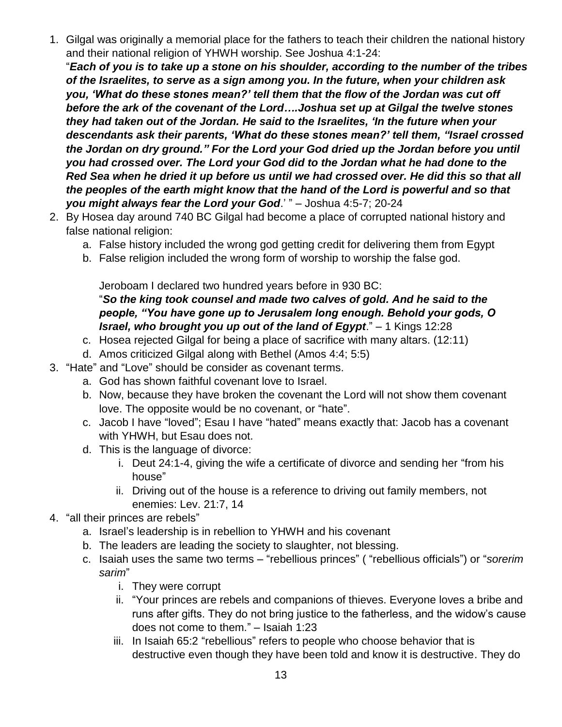1. Gilgal was originally a memorial place for the fathers to teach their children the national history and their national religion of YHWH worship. See Joshua 4:1-24:

"*Each of you is to take up a stone on his shoulder, according to the number of the tribes of the Israelites, to serve as a sign among you. In the future, when your children ask you, 'What do these stones mean?' tell them that the flow of the Jordan was cut off before the ark of the covenant of the Lord….Joshua set up at Gilgal the twelve stones they had taken out of the Jordan. He said to the Israelites, 'In the future when your descendants ask their parents, 'What do these stones mean?' tell them, "Israel crossed the Jordan on dry ground." For the Lord your God dried up the Jordan before you until you had crossed over. The Lord your God did to the Jordan what he had done to the Red Sea when he dried it up before us until we had crossed over. He did this so that all the peoples of the earth might know that the hand of the Lord is powerful and so that you might always fear the Lord your God*.' " – Joshua 4:5-7; 20-24

- 2. By Hosea day around 740 BC Gilgal had become a place of corrupted national history and false national religion:
	- a. False history included the wrong god getting credit for delivering them from Egypt
	- b. False religion included the wrong form of worship to worship the false god.

Jeroboam I declared two hundred years before in 930 BC:

"*So the king took counsel and made two calves of gold. And he said to the people, "You have gone up to Jerusalem long enough. Behold your gods, O Israel, who brought you up out of the land of Egypt*." – 1 Kings 12:28

- c. Hosea rejected Gilgal for being a place of sacrifice with many altars. (12:11)
- d. Amos criticized Gilgal along with Bethel (Amos 4:4; 5:5)
- 3. "Hate" and "Love" should be consider as covenant terms.
	- a. God has shown faithful covenant love to Israel.
	- b. Now, because they have broken the covenant the Lord will not show them covenant love. The opposite would be no covenant, or "hate".
	- c. Jacob I have "loved"; Esau I have "hated" means exactly that: Jacob has a covenant with YHWH, but Esau does not.
	- d. This is the language of divorce:
		- i. Deut 24:1-4, giving the wife a certificate of divorce and sending her "from his house"
		- ii. Driving out of the house is a reference to driving out family members, not enemies: Lev. 21:7, 14
- 4. "all their princes are rebels"
	- a. Israel's leadership is in rebellion to YHWH and his covenant
	- b. The leaders are leading the society to slaughter, not blessing.
	- c. Isaiah uses the same two terms "rebellious princes" ( "rebellious officials") or "*sorerim sarim*"
		- i. They were corrupt
		- ii. "Your princes are rebels and companions of thieves. Everyone loves a bribe and runs after gifts. They do not bring justice to the fatherless, and the widow's cause does not come to them." – Isaiah 1:23
		- iii. In Isaiah 65:2 "rebellious" refers to people who choose behavior that is destructive even though they have been told and know it is destructive. They do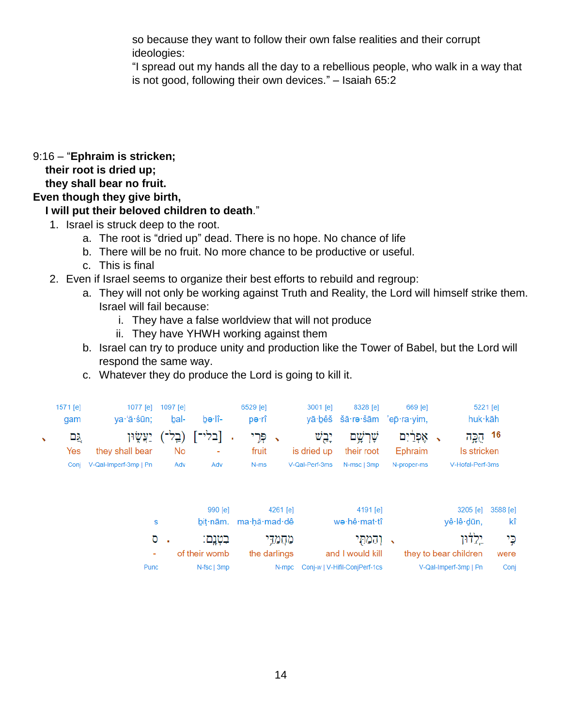so because they want to follow their own false realities and their corrupt ideologies:

"I spread out my hands all the day to a rebellious people, who walk in a way that is not good, following their own devices." – Isaiah 65:2

# 9:16 – "**Ephraim is stricken;**

 **their root is dried up;**

 **they shall bear no fruit.**

# **Even though they give birth,**

# **I will put their beloved children to death**."

- 1. Israel is struck deep to the root.
	- a. The root is "dried up" dead. There is no hope. No chance of life
	- b. There will be no fruit. No more chance to be productive or useful.
	- c. This is final
- 2. Even if Israel seems to organize their best efforts to rebuild and regroup:
	- a. They will not only be working against Truth and Reality, the Lord will himself strike them. Israel will fail because:
		- i. They have a false worldview that will not produce
		- ii. They have YHWH working against them
	- b. Israel can try to produce unity and production like the Tower of Babel, but the Lord will respond the same way.
	- c. Whatever they do produce the Lord is going to kill it.

| 1571 [e]<br>gam | va∙'ă∙śūn:                           | 1077 [e] 1097 [e]<br>bal- | bə·lî- | 6529 [e]<br>pə∙rî | 3001 [e]       | 8328 [e]    | $669$ [e]<br>yā bêš šā re šām 'ep ra yim, | $5221$ [e]<br>huk·kāh |
|-----------------|--------------------------------------|---------------------------|--------|-------------------|----------------|-------------|-------------------------------------------|-----------------------|
| <u>גם</u>       | - [בלי־] ( <u>ב</u> ְל־) יַעֲשֶׂוּן. |                           |        | √ פּרֵי           | יֵבֵשׁ         |             | , אָפְרַׂיִם <i>שֶׁרְשָׁם</i>             | 16 הֻכֱה              |
| Yes             | they shall bear                      | No.                       | $\sim$ | fruit             | is dried up    | their root  | Ephraim                                   | Is stricken           |
|                 | Conj V-Qal-Imperf-3mp   Pn           | Adv                       | Adv    | N-ms              | V-Qal-Perf-3ms | N-msc I 3mp | N-proper-ms                               | V-Hofal-Perf-3ms      |